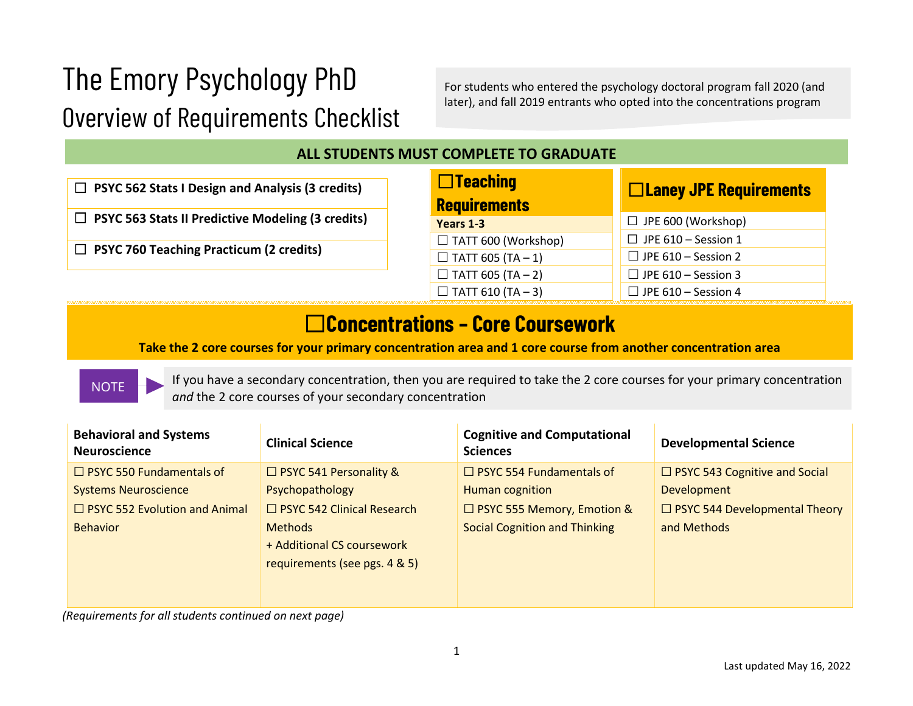# The Emory Psychology PhD Overview of Requirements Checklist

For students who entered the psychology doctoral program fall 2020 (and later), and fall 2019 entrants who opted into the concentrations program

#### **ALL STUDENTS MUST COMPLETE TO GRADUATE**

☐ **PSYC 562 Stats I Design and Analysis (3 credits)**

☐ **PSYC 563 Stats II Predictive Modeling (3 credits)**

☐ **PSYC 760 Teaching Practicum (2 credits)**

| $\Box$ Teaching<br><b>Requirements</b> | $\Box$ Laney JPE Requirements |  |
|----------------------------------------|-------------------------------|--|
| Years 1-3                              | $\Box$ JPE 600 (Workshop)     |  |
| $\Box$ TATT 600 (Workshop)             | $\Box$ JPE 610 - Session 1    |  |
| $\Box$ TATT 605 (TA - 1)               | $\Box$ JPE 610 - Session 2    |  |
| $\Box$ TATT 605 (TA - 2)               | $\Box$ JPE 610 - Session 3    |  |
| $\Box$ TATT 610 (TA - 3)               | $\Box$ JPE 610 - Session 4    |  |

## ☐**Concentrations – Core Coursework**

**Take the 2 core courses for your primary concentration area and 1 core course from another concentration area**

#### **NOTE**

If you have a secondary concentration, then you are required to take the 2 core courses for your primary concentration *and* the 2 core courses of your secondary concentration

| <b>Behavioral and Systems</b><br><b>Neuroscience</b> | <b>Clinical Science</b>                                                       | <b>Cognitive and Computational</b><br><b>Sciences</b> | <b>Developmental Science</b>         |
|------------------------------------------------------|-------------------------------------------------------------------------------|-------------------------------------------------------|--------------------------------------|
| $\Box$ PSYC 550 Fundamentals of                      | □ PSYC 541 Personality &                                                      | $\Box$ PSYC 554 Fundamentals of                       | $\Box$ PSYC 543 Cognitive and Social |
| <b>Systems Neuroscience</b>                          | Psychopathology                                                               | Human cognition                                       | <b>Development</b>                   |
| $\Box$ PSYC 552 Evolution and Animal                 | $\Box$ PSYC 542 Clinical Research                                             | □ PSYC 555 Memory, Emotion &                          | $\Box$ PSYC 544 Developmental Theory |
| <b>Behavior</b>                                      | <b>Methods</b><br>+ Additional CS coursework<br>requirements (see pgs. 4 & 5) | <b>Social Cognition and Thinking</b>                  | and Methods                          |

*(Requirements for all students continued on next page)*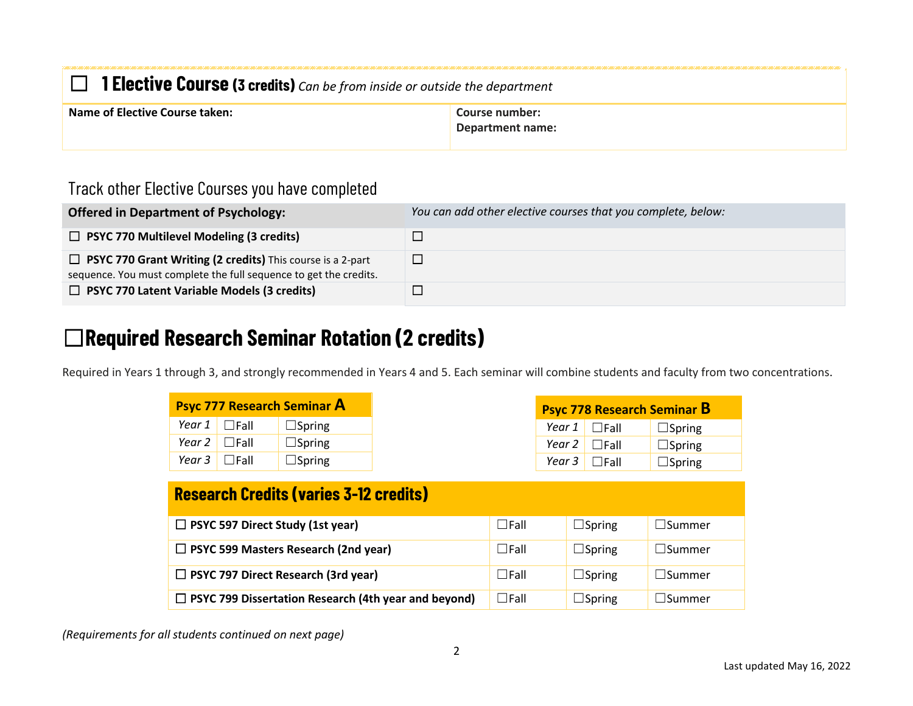| $\Box$ 1 Elective Course (3 credits) Can be from inside or outside the department |                                    |  |  |
|-----------------------------------------------------------------------------------|------------------------------------|--|--|
| <b>Name of Elective Course taken:</b>                                             | Course number:<br>Department name: |  |  |

#### Track other Elective Courses you have completed

| <b>Offered in Department of Psychology:</b>                                                                                            | You can add other elective courses that you complete, below: |
|----------------------------------------------------------------------------------------------------------------------------------------|--------------------------------------------------------------|
| $\Box$ PSYC 770 Multilevel Modeling (3 credits)                                                                                        |                                                              |
| $\Box$ PSYC 770 Grant Writing (2 credits) This course is a 2-part<br>sequence. You must complete the full sequence to get the credits. |                                                              |
| $\Box$ PSYC 770 Latent Variable Models (3 credits)                                                                                     |                                                              |

## ☐**Required Research Seminar Rotation (2 credits)**

Required in Years 1 through 3, and strongly recommended in Years 4 and 5. Each seminar will combine students and faculty from two concentrations.

|                |                      | <b>Psyc 777 Research Seminar A</b> |
|----------------|----------------------|------------------------------------|
|                | Year $1$ $\Box$ Fall | $\Box$ Spring                      |
| Year 2 $\vert$ | $\Box$ Fall          | $\Box$ Spring                      |
| Year 3         | $\Box$ Fall          | $\Box$ Spring                      |

| <b>Research Credits (varies 3-12 credits)</b>               |             |               |                  |
|-------------------------------------------------------------|-------------|---------------|------------------|
| $\Box$ PSYC 597 Direct Study (1st year)                     | $\Box$ Fall | $\Box$ Spring | $\Box$ Summer    |
| $\Box$ PSYC 599 Masters Research (2nd year)                 | $\Box$ Fall | $\Box$ Spring | $\sqcup$ Summer  |
| $\Box$ PSYC 797 Direct Research (3rd year)                  | $\Box$ Fall | $\Box$ Spring | $\square$ Summer |
| $\Box$ PSYC 799 Dissertation Research (4th year and beyond) | $\Box$ Fall | $\Box$ Spring | $\Box$ Summer    |

*(Requirements for all students continued on next page)*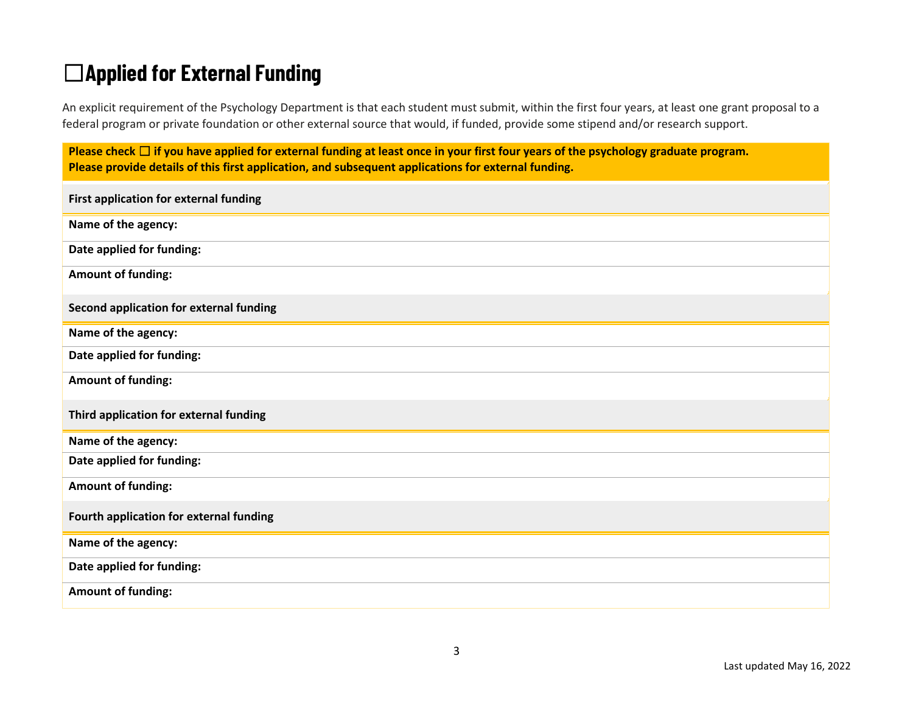# ☐**Applied for External Funding**

An explicit requirement of the Psychology Department is that each student must submit, within the first four years, at least one grant proposal to a federal program or private foundation or other external source that would, if funded, provide some stipend and/or research support.

**Please check** ☐ **if you have applied for external funding at least once in your first four years of the psychology graduate program. Please provide details of this first application, and subsequent applications for external funding.**

| First application for external funding  |
|-----------------------------------------|
| Name of the agency:                     |
| Date applied for funding:               |
| <b>Amount of funding:</b>               |
| Second application for external funding |
| Name of the agency:                     |
| Date applied for funding:               |
| <b>Amount of funding:</b>               |
| Third application for external funding  |
| Name of the agency:                     |
| Date applied for funding:               |
| <b>Amount of funding:</b>               |
| Fourth application for external funding |
| Name of the agency:                     |
| Date applied for funding:               |
| <b>Amount of funding:</b>               |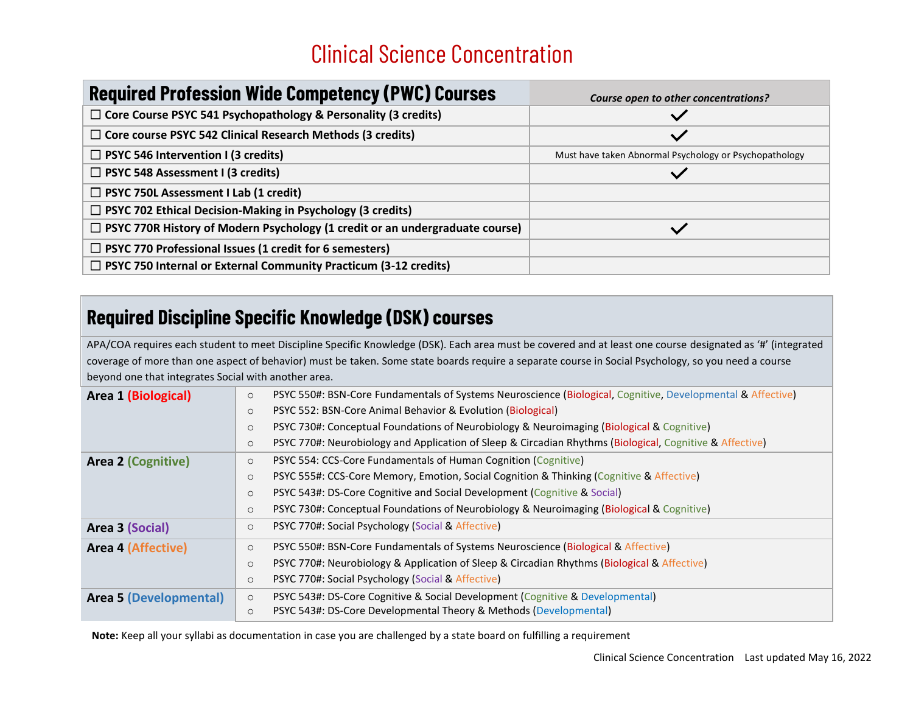# Clinical Science Concentration

| <b>Required Profession Wide Competency (PWC) Courses</b>                            | Course open to other concentrations?                   |
|-------------------------------------------------------------------------------------|--------------------------------------------------------|
| $\Box$ Core Course PSYC 541 Psychopathology & Personality (3 credits)               |                                                        |
| $\Box$ Core course PSYC 542 Clinical Research Methods (3 credits)                   | $\checkmark$                                           |
| $\Box$ PSYC 546 Intervention I (3 credits)                                          | Must have taken Abnormal Psychology or Psychopathology |
| $\Box$ PSYC 548 Assessment I (3 credits)                                            |                                                        |
| $\Box$ PSYC 750L Assessment I Lab (1 credit)                                        |                                                        |
| $\Box$ PSYC 702 Ethical Decision-Making in Psychology (3 credits)                   |                                                        |
| $\Box$ PSYC 770R History of Modern Psychology (1 credit or an undergraduate course) |                                                        |
| $\Box$ PSYC 770 Professional Issues (1 credit for 6 semesters)                      |                                                        |
| $\Box$ PSYC 750 Internal or External Community Practicum (3-12 credits)             |                                                        |

### **Required Discipline Specific Knowledge (DSK) courses**

APA/COA requires each student to meet Discipline Specific Knowledge (DSK). Each area must be covered and at least one course designated as '#' (integrated coverage of more than one aspect of behavior) must be taken. Some state boards require a separate course in Social Psychology, so you need a course beyond one that integrates Social with another area.

| Area 1 (Biological)           | PSYC 550#: BSN-Core Fundamentals of Systems Neuroscience (Biological, Cognitive, Developmental & Affective)<br>$\circ$ |  |
|-------------------------------|------------------------------------------------------------------------------------------------------------------------|--|
|                               | PSYC 552: BSN-Core Animal Behavior & Evolution (Biological)<br>$\circ$                                                 |  |
|                               | PSYC 730#: Conceptual Foundations of Neurobiology & Neuroimaging (Biological & Cognitive)<br>$\circ$                   |  |
|                               | PSYC 770#: Neurobiology and Application of Sleep & Circadian Rhythms (Biological, Cognitive & Affective)<br>$\circ$    |  |
| <b>Area 2 (Cognitive)</b>     | PSYC 554: CCS-Core Fundamentals of Human Cognition (Cognitive)<br>$\circ$                                              |  |
|                               | PSYC 555#: CCS-Core Memory, Emotion, Social Cognition & Thinking (Cognitive & Affective)<br>$\circ$                    |  |
|                               | PSYC 543#: DS-Core Cognitive and Social Development (Cognitive & Social)<br>$\circ$                                    |  |
|                               | PSYC 730#: Conceptual Foundations of Neurobiology & Neuroimaging (Biological & Cognitive)<br>$\circ$                   |  |
| Area 3 (Social)               | PSYC 770#: Social Psychology (Social & Affective)<br>$\circ$                                                           |  |
| <b>Area 4 (Affective)</b>     | PSYC 550#: BSN-Core Fundamentals of Systems Neuroscience (Biological & Affective)<br>$\circ$                           |  |
|                               | PSYC 770#: Neurobiology & Application of Sleep & Circadian Rhythms (Biological & Affective)<br>$\circ$                 |  |
|                               | PSYC 770#: Social Psychology (Social & Affective)<br>$\circ$                                                           |  |
| <b>Area 5 (Developmental)</b> | PSYC 543#: DS-Core Cognitive & Social Development (Cognitive & Developmental)<br>$\circ$                               |  |
|                               | PSYC 543#: DS-Core Developmental Theory & Methods (Developmental)<br>$\circ$                                           |  |
|                               |                                                                                                                        |  |

**Note:** Keep all your syllabi as documentation in case you are challenged by a state board on fulfilling a requirement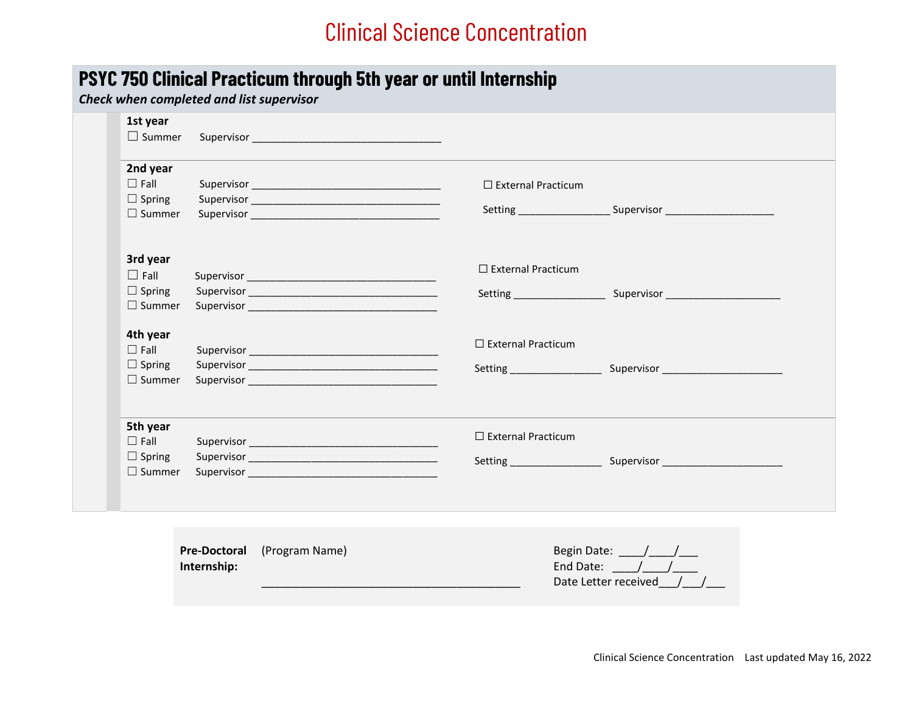## Clinical Science Concentration

#### **PSYC 750 Clinical Practicum through 5th year or until Internship**

#### *Check when completed and list supervisor*

| 1st year<br>$\Box$ Summer                                 |                                    |                |                                                                                                               |
|-----------------------------------------------------------|------------------------------------|----------------|---------------------------------------------------------------------------------------------------------------|
| 2nd year<br>$\Box$ Fall<br>$\Box$ Spring<br>$\Box$ Summer |                                    |                | $\Box$ External Practicum<br>Setting _________________________ Supervisor ___________________________________ |
| 3rd year<br>$\Box$ Fall<br>$\Box$ Spring<br>$\Box$ Summer |                                    |                | $\Box$ External Practicum<br>Setting Supervisor Contains Supervisor                                           |
| 4th year<br>$\Box$ Fall<br>$\Box$ Spring<br>$\Box$ Summer |                                    |                | $\Box$ External Practicum                                                                                     |
| 5th year<br>$\Box$ Fall<br>$\Box$ Spring<br>$\Box$ Summer |                                    |                | $\Box$ External Practicum                                                                                     |
|                                                           | <b>Pre-Doctoral</b><br>Internship: | (Program Name) | Begin Date: $\frac{1}{\sqrt{1-\frac{1}{2}}}$<br>End Date: / /<br>Date Letter received                         |

\_\_\_\_\_\_\_\_\_\_\_\_\_\_\_\_\_\_\_\_\_\_\_\_\_\_\_\_\_\_\_\_\_\_\_\_\_\_\_\_\_